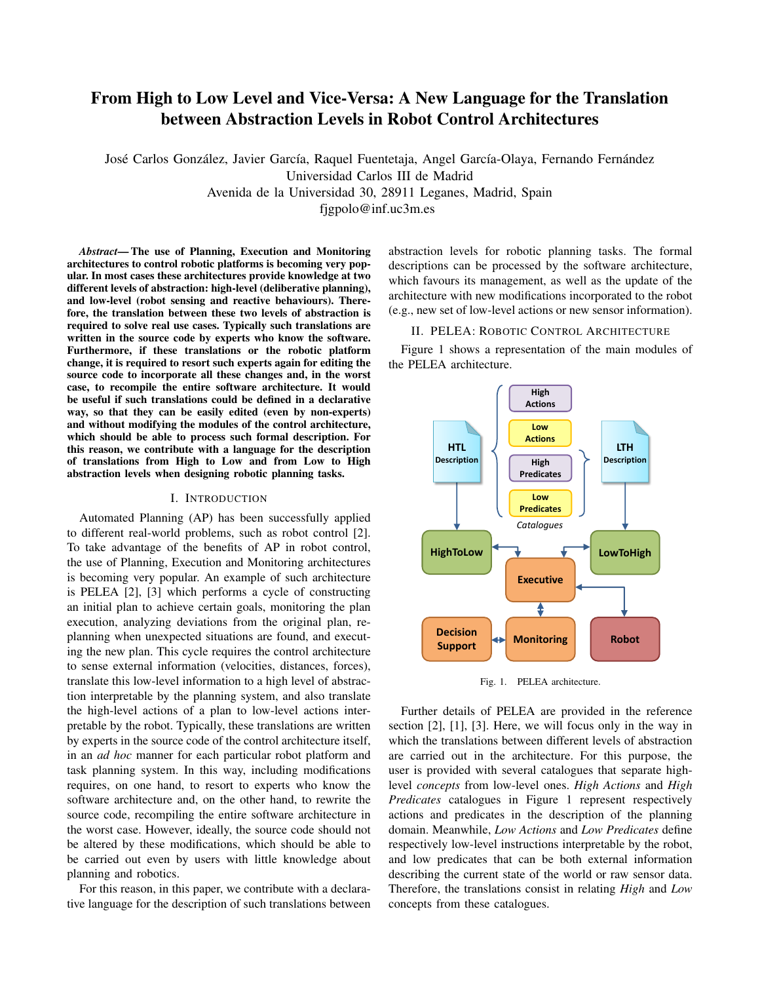# From High to Low Level and Vice-Versa: A New Language for the Translation between Abstraction Levels in Robot Control Architectures

José Carlos González, Javier García, Raquel Fuentetaja, Angel García-Olaya, Fernando Fernández Universidad Carlos III de Madrid Avenida de la Universidad 30, 28911 Leganes, Madrid, Spain fjgpolo@inf.uc3m.es

*Abstract*— The use of Planning, Execution and Monitoring architectures to control robotic platforms is becoming very popular. In most cases these architectures provide knowledge at two different levels of abstraction: high-level (deliberative planning), and low-level (robot sensing and reactive behaviours). Therefore, the translation between these two levels of abstraction is required to solve real use cases. Typically such translations are written in the source code by experts who know the software. Furthermore, if these translations or the robotic platform change, it is required to resort such experts again for editing the source code to incorporate all these changes and, in the worst case, to recompile the entire software architecture. It would be useful if such translations could be defined in a declarative way, so that they can be easily edited (even by non-experts) and without modifying the modules of the control architecture, which should be able to process such formal description. For this reason, we contribute with a language for the description of translations from High to Low and from Low to High abstraction levels when designing robotic planning tasks.

# I. INTRODUCTION

Automated Planning (AP) has been successfully applied to different real-world problems, such as robot control [2]. To take advantage of the benefits of AP in robot control, the use of Planning, Execution and Monitoring architectures is becoming very popular. An example of such architecture is PELEA [2], [3] which performs a cycle of constructing an initial plan to achieve certain goals, monitoring the plan execution, analyzing deviations from the original plan, replanning when unexpected situations are found, and executing the new plan. This cycle requires the control architecture to sense external information (velocities, distances, forces), translate this low-level information to a high level of abstraction interpretable by the planning system, and also translate the high-level actions of a plan to low-level actions interpretable by the robot. Typically, these translations are written by experts in the source code of the control architecture itself, in an *ad hoc* manner for each particular robot platform and task planning system. In this way, including modifications requires, on one hand, to resort to experts who know the software architecture and, on the other hand, to rewrite the source code, recompiling the entire software architecture in the worst case. However, ideally, the source code should not be altered by these modifications, which should be able to be carried out even by users with little knowledge about planning and robotics.

For this reason, in this paper, we contribute with a declarative language for the description of such translations between abstraction levels for robotic planning tasks. The formal descriptions can be processed by the software architecture, which favours its management, as well as the update of the architecture with new modifications incorporated to the robot (e.g., new set of low-level actions or new sensor information).

# II. PELEA: ROBOTIC CONTROL ARCHITECTURE

Figure 1 shows a representation of the main modules of the PELEA architecture.



Fig. 1. PELEA architecture.

Further details of PELEA are provided in the reference section [2], [1], [3]. Here, we will focus only in the way in which the translations between different levels of abstraction are carried out in the architecture. For this purpose, the user is provided with several catalogues that separate highlevel *concepts* from low-level ones. *High Actions* and *High Predicates* catalogues in Figure 1 represent respectively actions and predicates in the description of the planning domain. Meanwhile, *Low Actions* and *Low Predicates* define respectively low-level instructions interpretable by the robot, and low predicates that can be both external information describing the current state of the world or raw sensor data. Therefore, the translations consist in relating *High* and *Low* concepts from these catalogues.